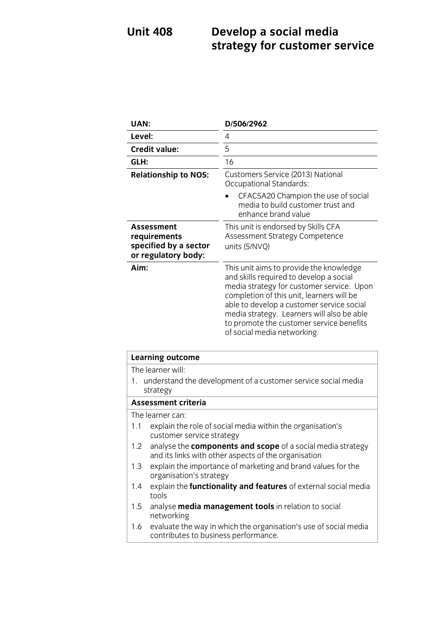## **Unit 408 Develop a social media strategy for customer service**

| UAN:                                                                              | D/506/2962                                                                                                                                                                                                                                                                                                                                         |
|-----------------------------------------------------------------------------------|----------------------------------------------------------------------------------------------------------------------------------------------------------------------------------------------------------------------------------------------------------------------------------------------------------------------------------------------------|
| Level:                                                                            | 4                                                                                                                                                                                                                                                                                                                                                  |
| <b>Credit value:</b>                                                              | 5                                                                                                                                                                                                                                                                                                                                                  |
| GLH:                                                                              | 16                                                                                                                                                                                                                                                                                                                                                 |
| <b>Relationship to NOS:</b>                                                       | Customers Service (2013) National<br>Occupational Standards:                                                                                                                                                                                                                                                                                       |
|                                                                                   | CFACSA20 Champion the use of social<br>media to build customer trust and<br>enhance brand value                                                                                                                                                                                                                                                    |
| <b>Assessment</b><br>requirements<br>specified by a sector<br>or regulatory body: | This unit is endorsed by Skills CFA<br>Assessment Strategy Competence<br>units (S/NVQ)                                                                                                                                                                                                                                                             |
| Aim:                                                                              | This unit aims to provide the knowledge<br>and skills required to develop a social<br>media strategy for customer service. Upon<br>completion of this unit, learners will be<br>able to develop a customer service social<br>media strategy. Learners will also be able<br>to promote the customer service benefits<br>of social media networking. |

| <b>Learning outcome</b>                                                                                                    |  |
|----------------------------------------------------------------------------------------------------------------------------|--|
| The learner will:                                                                                                          |  |
| 1. understand the development of a customer service social media<br>strategy                                               |  |
| <b>Assessment criteria</b>                                                                                                 |  |
| The learner can:                                                                                                           |  |
| explain the role of social media within the organisation's<br>1.1<br>customer service strategy                             |  |
| analyse the components and scope of a social media strategy<br>1.2<br>and its links with other aspects of the organisation |  |
| explain the importance of marketing and brand values for the<br>1.3<br>organisation's strategy                             |  |
| explain the functionality and features of external social media<br>1.4<br>tools                                            |  |
| analyse <b>media management tools</b> in relation to social<br>1.5<br>networking                                           |  |
| evaluate the way in which the organisation's use of social media<br>1.6<br>contributes to business performance.            |  |
|                                                                                                                            |  |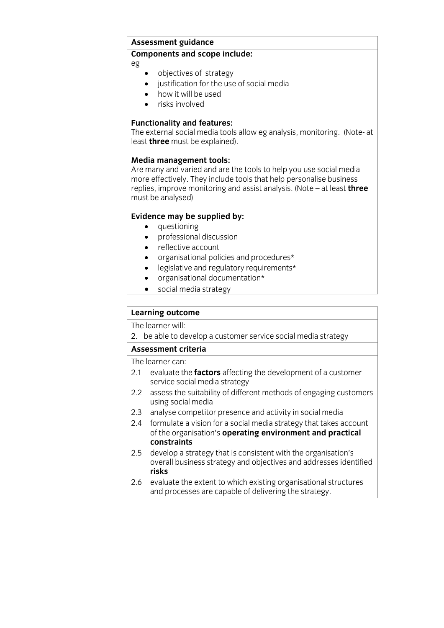## **Assessment guidance Components and scope include:**

eg

- objectives of strategy<br>• iustification for the use
- justification for the use of social media
- how it will be used
- risks involved

**Functionality and features:**<br>The external social media tools allow eg analysis, monitoring. (Note- at  $T_{\text{last}}$  three must be explained. least **three** must be explained).

**Media management tools:**<br>Are many and varied and are the tools to help you use social media more effectively. They include tools that help personalise business replies, improve monitoring and assist analysis. (Note  $-$  at least **three** replies, improve monitoring and assist analysis. (Note – at least **three**  $\frac{1}{2}$ 

- 
- **questioning**<br>• **professional discussion** • professional discussion
	- reflective account
	- organisational policies and procedures\*
	- legislative and regulatory requirements\*
	- organisational documentation\*<br>• social media strategy
	- social media strategy

# **Learning outcome**<br>The learner will:

2. be able to develop a customer service social media strategy

## Assessment criteria

The learner can:

- 2.1 evaluate the **factors** affecting the development of a customer service social media strategy
- 2.2 assess the suitability of different methods of engaging customers using social media
- 2.3 analyse competitor presence and activity in social media
- 2.4 formulate a vision for a social media strategy that takes account of the organisation's operating environment and practical constraints
- develop a strategy that is consistent with the organisation's 2.5 develop a strategy that is consistent with the organisation's overall business strategy and objectives and addresses in the addresses in the addresses in the addresses in the set of the set of the set of the set of the set of the set of the set of the set of the set of the set of the
- 2.6 evaluate the extent to which existing organisational structures  $\frac{1}{2}$  and processes are canable of delivering the strategy  $\frac{1}{\sqrt{2}}$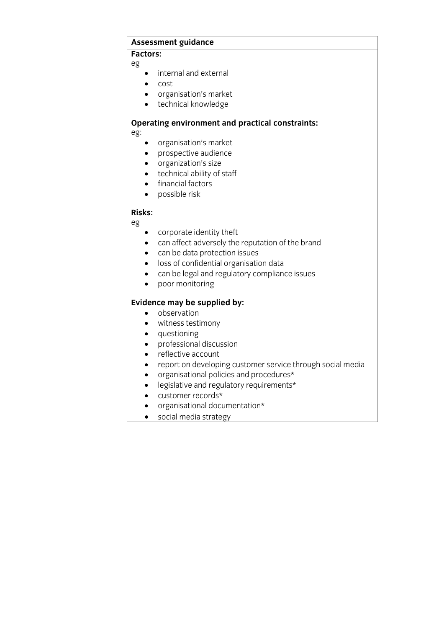## **Assessment guidance**

**Factors:** eg

- internal and external
- cost
- organisation's market
- technical knowledge

## **Operating environment and practical constraints:**

eg:

- organisation's market
- prospective audience
- organization's size
- technical ability of staff
- **•** financial factors
- possible risk

**Risks:** eg

- corporate identity theft
- can affect adversely the reputation of the brand
- can be data protection issues
- loss of confidential organisation data
- can be legal and regulatory compliance issues
- poor monitoring

- **Evidence** may be supplied by:
	- witness testimony
	- questioning
	- professional discussion
	- reflective account
	- report on developing customer service through social media
	- organisational policies and procedures\*
	- legislative and regulatory requirements\*
	- customer records\*
	- organisational documentation\*
	- social media strategy